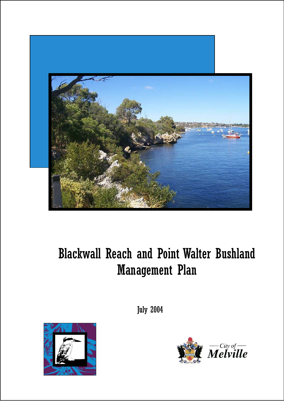

# Blackwall Reach and Point Walter Bushland Management Plan

July 2004



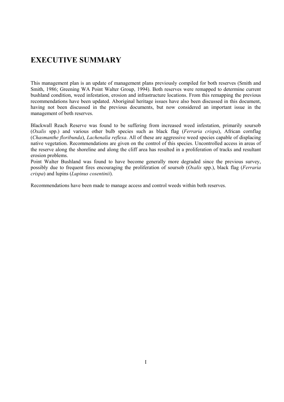# **EXECUTIVE SUMMARY**

This management plan is an update of management plans previously compiled for both reserves (Smith and Smith, 1986; Greening WA Point Walter Group, 1994). Both reserves were remapped to determine current bushland condition, weed infestation, erosion and infrastructure locations. From this remapping the previous recommendations have been updated. Aboriginal heritage issues have also been discussed in this document, having not been discussed in the previous documents, but now considered an important issue in the management of both reserves.

Blackwall Reach Reserve was found to be suffering from increased weed infestation, primarily soursob (*Oxalis* spp.) and various other bulb species such as black flag (*Ferraria crispa*), African cornflag (*Chasmanthe floribunda*), *Lachenalia reflexa*. All of these are aggressive weed species capable of displacing native vegetation. Recommendations are given on the control of this species. Uncontrolled access in areas of the reserve along the shoreline and along the cliff area has resulted in a proliferation of tracks and resultant erosion problems.

Point Walter Bushland was found to have become generally more degraded since the previous survey, possibly due to frequent fires encouraging the proliferation of soursob (*Oxalis* spp.), black flag (*Ferraria crispa*) and lupins (*Lupinus cosentinii*).

Recommendations have been made to manage access and control weeds within both reserves.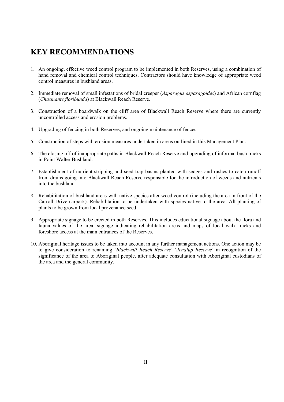# **KEY RECOMMENDATIONS**

- 1. An ongoing, effective weed control program to be implemented in both Reserves, using a combination of hand removal and chemical control techniques. Contractors should have knowledge of appropriate weed control measures in bushland areas.
- 2. Immediate removal of small infestations of bridal creeper (*Asparagus asparagoides*) and African cornflag (*Chasmante floribunda*) at Blackwall Reach Reserve.
- 3. Construction of a boardwalk on the cliff area of Blackwall Reach Reserve where there are currently uncontrolled access and erosion problems.
- 4. Upgrading of fencing in both Reserves, and ongoing maintenance of fences.
- 5. Construction of steps with erosion measures undertaken in areas outlined in this Management Plan.
- 6. The closing off of inappropriate paths in Blackwall Reach Reserve and upgrading of informal bush tracks in Point Walter Bushland.
- 7. Establishment of nutrient-stripping and seed trap basins planted with sedges and rushes to catch runoff from drains going into Blackwall Reach Reserve responsible for the introduction of weeds and nutrients into the bushland.
- 8. Rehabilitation of bushland areas with native species after weed control (including the area in front of the Carroll Drive carpark). Rehabilitation to be undertaken with species native to the area. All planting of plants to be grown from local provenance seed.
- 9. Appropriate signage to be erected in both Reserves. This includes educational signage about the flora and fauna values of the area, signage indicating rehabilitation areas and maps of local walk tracks and foreshore access at the main entrances of the Reserves.
- 10. Aboriginal heritage issues to be taken into account in any further management actions. One action may be to give consideration to renaming '*Blackwall Reach Reserve*' '*Jenalup Reserve*' in recognition of the significance of the area to Aboriginal people, after adequate consultation with Aboriginal custodians of the area and the general community.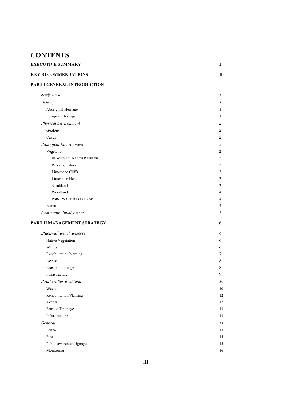# **CONTENTS**

| <b>EXECUTIVE SUMMARY</b>   |  |
|----------------------------|--|
| <b>KEY RECOMMENDATIONS</b> |  |

# **PART I GENERAL INTRODUCTION**

| Study Area                     | 1              |
|--------------------------------|----------------|
|                                | 1              |
| History                        |                |
| Aboriginal Heritage            | $\mathbf{1}$   |
| European Heritage              | $\mathbf{1}$   |
| Physical Environment           | $\overline{2}$ |
| Geology                        | 2              |
| Caves                          | 2              |
| <b>Biological Environment</b>  | $\overline{c}$ |
| Vegetation                     | 2              |
| <b>BLACKWALL REACH RESERVE</b> | $\overline{3}$ |
| River Foreshore                | $\mathfrak{Z}$ |
| Limestone Cliffs               | $\mathfrak{Z}$ |
| Limestone Heath                | 3              |
| Shrubland                      | 3              |
| Woodland                       | 4              |
| POINT WALTER BUSHLAND          | 4              |
| Fauna                          | 4              |
| Community Involvement          | 5              |
| PART II MANAGEMENT STRATEGY    | 6              |
| <b>Blackwall Reach Reserve</b> | 6              |
| Native Vegetation              | 6              |
| Weeds                          | 6              |
| Rehabilitation/planting        | 7              |
| Access                         | 8              |
| Erosion/drainage               | 8              |
| Infrastructure                 | 9              |
| Point Walter Bushland          | 10             |
| Weeds                          | 10             |
| Rehabilitation/Planting        | 12             |
| Access                         | 12             |
| Erosion/Drainage               | 13             |
|                                |                |

Infrastructure 13 **General** 13 *General* 13 Fauna 13 Fire 15 Public awareness/signage 15 Monitoring 16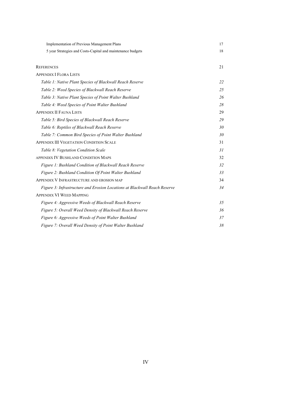| <b>Implementation of Previous Management Plans</b>                        | 17 |
|---------------------------------------------------------------------------|----|
| 5 year Strategies and Costs-Capital and maintenance budgets               | 18 |
|                                                                           |    |
| <b>REFERENCES</b>                                                         | 21 |
| <b>APPENDIX I FLORA LISTS</b>                                             |    |
| Table 1: Native Plant Species of Blackwall Reach Reserve                  | 22 |
| Table 2: Weed Species of Blackwall Reach Reserve                          | 25 |
| Table 3: Native Plant Species of Point Walter Bushland                    | 26 |
| Table 4: Weed Species of Point Walter Bushland                            | 28 |
| <b>APPENDIX II FAUNA LISTS</b>                                            | 29 |
| Table 5: Bird Species of Blackwall Reach Reserve                          | 29 |
| Table 6: Reptiles of Blackwall Reach Reserve                              | 30 |
| Table 7: Common Bird Species of Point Walter Bushland                     | 30 |
| <b>APPENDIX III VEGETATION CONDITION SCALE</b>                            | 31 |
| Table 8: Vegetation Condition Scale                                       | 31 |
| APPENDIX IV BUSHLAND CONDITION MAPS                                       | 32 |
| Figure 1: Bushland Condition of Blackwall Reach Reserve                   | 32 |
| Figure 2: Bushland Condition Of Point Walter Bushland                     | 33 |
| APPENDIX V INFRASTRUCTURE AND EROSION MAP                                 | 34 |
| Figure 3: Infrastructure and Erosion Locations at Blackwall Reach Reserve | 34 |
| <b>APPENDIX VI WEED MAPPING</b>                                           |    |
| Figure 4: Aggressive Weeds of Blackwall Reach Reserve                     | 35 |
| Figure 5: Overall Weed Density of Blackwall Reach Reserve                 | 36 |
| Figure 6: Aggressive Weeds of Point Walter Bushland                       | 37 |
| Figure 7: Overall Weed Density of Point Walter Bushland                   | 38 |
|                                                                           |    |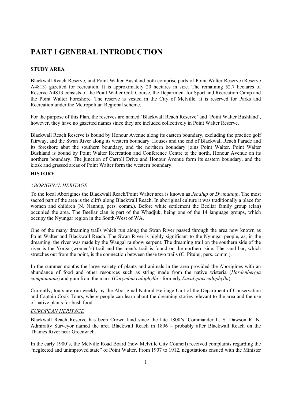# **PART I GENERAL INTRODUCTION**

# **STUDY AREA**

Blackwall Reach Reserve, and Point Walter Bushland both comprise parts of Point Walter Reserve (Reserve A4813) gazetted for recreation. It is approximately 20 hectares in size. The remaining 52.7 hectares of Reserve A4813 consists of the Point Walter Golf Course, the Department for Sport and Recreation Camp and the Point Walter Foreshore. The reserve is vested in the City of Melville. It is reserved for Parks and Recreation under the Metropolitan Regional scheme.

For the purpose of this Plan, the reserves are named 'Blackwall Reach Reserve' and 'Point Walter Bushland', however, they have no gazetted names since they are included collectively in Point Walter Reserve.

Blackwall Reach Reserve is bound by Honour Avenue along its eastern boundary, excluding the practice golf fairway, and the Swan River along its western boundary. Houses and the end of Blackwall Reach Parade and its foreshore abut the southern boundary, and the northern boundary joins Point Walter. Point Walter Bushland is bound by Point Walter Recreation and Conference Centre to the north, Honour Avenue on its northern boundary. The junction of Carroll Drive and Honour Avenue form its eastern boundary, and the kiosk and grassed areas of Point Walter form the western boundary.

# **HISTORY**

# *ABORIGINAL HERITAGE*

To the local Aborigines the Blackwall Reach/Point Walter area is known as *Jenalup* or *Dyundalup*. The most sacred part of the area is the cliffs along Blackwall Reach. In aboriginal culture it was traditionally a place for women and children (N. Nannup, pers. comm.). Before white settlement the Beeliar family group (clan) occupied the area. The Beeliar clan is part of the Whadjuk, being one of the 14 language groups, which occupy the Nyungar region in the South-West of WA.

One of the many dreaming trails which run along the Swan River passed through the area now known as Point Walter and Blackwall Reach. The Swan River is highly significant to the Nyungar people, as, in the dreaming, the river was made by the Waugal rainbow serpent. The dreaming trail on the southern side of the river is the Yorga (women's) trail and the men's trail is found on the northern side. The sand bar, which stretches out from the point, is the connection between these two trails (C. Pitulej, pers. comm.).

In the summer months the large variety of plants and animals in the area provided the Aborigines with an abundance of food and other resources such as string made from the native wisteria (*Hardenbergia comptoniana*) and gum from the marri (*Corymbia calophylla* - formerly *Eucalyptus calophylla*).

Currently, tours are run weekly by the Aboriginal Natural Heritage Unit of the Department of Conservation and Captain Cook Tours, where people can learn about the dreaming stories relevant to the area and the use of native plants for bush food.

# *EUROPEAN HERITAGE*

Blackwall Reach Reserve has been Crown land since the late 1800's. Commander L. S. Dawson R. N. Admiralty Surveyor named the area Blackwall Reach in 1896 – probably after Blackwall Reach on the Thames River near Greenwich.

In the early 1900's, the Melville Road Board (now Melville City Council) received complaints regarding the "neglected and unimproved state" of Point Walter. From 1907 to 1912, negotiations ensued with the Minister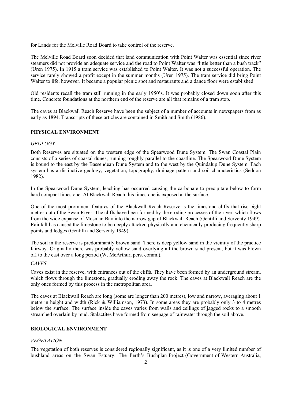for Lands for the Melville Road Board to take control of the reserve.

The Melville Road Board soon decided that land communication with Point Walter was essential since river steamers did not provide an adequate service and the road to Point Walter was "little better than a bush track" (Uren 1975). In 1915 a tram service was established to Point Walter. It was not a successful operation. The service rarely showed a profit except in the summer months (Uren 1975). The tram service did bring Point Walter to life, however. It became a popular picnic spot and restaurants and a dance floor were established.

Old residents recall the tram still running in the early 1950's. It was probably closed down soon after this time. Concrete foundations at the northern end of the reserve are all that remains of a tram stop.

The caves at Blackwall Reach Reserve have been the subject of a number of accounts in newspapers from as early as 1894. Transcripts of these articles are contained in Smith and Smith (1986).

# **PHYSICAL ENVIRONMENT**

### *GEOLOGY*

Both Reserves are situated on the western edge of the Spearwood Dune System. The Swan Coastal Plain consists of a series of coastal dunes, running roughly parallel to the coastline. The Spearwood Dune System is bound to the east by the Bassendean Dune System and to the west by the Quindalup Dune System. Each system has a distinctive geology, vegetation, topography, drainage pattern and soil characteristics (Seddon 1982).

In the Spearwood Dune System, leaching has occurred causing the carbonate to precipitate below to form hard compact limestone. At Blackwall Reach this limestone is exposed at the surface.

One of the most prominent features of the Blackwall Reach Reserve is the limestone cliffs that rise eight metres out of the Swan River. The cliffs have been formed by the eroding processes of the river, which flows from the wide expanse of Mosman Bay into the narrow gap of Blackwall Reach (Gentilli and Serventy 1949). Rainfall has caused the limestone to be deeply attacked physically and chemically producing frequently sharp points and ledges (Gentilli and Serventy 1949).

The soil in the reserve is predominantly brown sand. There is deep yellow sand in the vicinity of the practice fairway. Originally there was probably yellow sand overlying all the brown sand present, but it was blown off to the east over a long period (W. McArthur, pers. comm.).

# *CAVES*

Caves exist in the reserve, with entrances out of the cliffs. They have been formed by an underground stream, which flows through the limestone, gradually eroding away the rock. The caves at Blackwall Reach are the only ones formed by this process in the metropolitan area.

The caves at Blackwall Reach are long (some are longer than 200 metres), low and narrow, averaging about 1 metre in height and width (Rick & Williamson, 1973). In some areas they are probably only 3 to 4 metres below the surface. The surface inside the caves varies from walls and ceilings of jagged rocks to a smooth streambed overlain by mud. Stalactites have formed from seepage of rainwater through the soil above.

# **BIOLOGICAL ENVIRONMENT**

# *VEGETATION*

The vegetation of both reserves is considered regionally significant, as it is one of a very limited number of bushland areas on the Swan Estuary. The Perth's Bushplan Project (Government of Western Australia,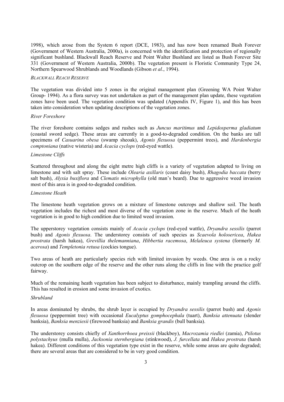1998), which arose from the System 6 report (DCE, 1983), and has now been renamed Bush Forever (Government of Western Australia, 2000a), is concerned with the identification and protection of regionally significant bushland. Blackwall Reach Reserve and Point Walter Bushland are listed as Bush Forever Site 331 (Government of Western Australia, 2000b). The vegetation present is Floristic Community Type 24, Northern Spearwood Shrublands and Woodlands (Gibson *et al.*, 1994).

#### *BLACKWALL REACH RESERVE*

The vegetation was divided into 5 zones in the original management plan (Greening WA Point Walter Group- 1994). As a flora survey was not undertaken as part of the management plan update, these vegetation zones have been used. The vegetation condition was updated (Appendix IV, Figure 1), and this has been taken into consideration when updating descriptions of the vegetation zones.

#### *River Foreshore*

The river foreshore contains sedges and rushes such as *Juncus maritimus* and *Lepidosperma gladiatum* (coastal sword sedge). These areas are currently in a good-to-degraded condition. On the banks are tall specimens of *Casuarina obesa* (swamp sheoak), *Agonis flexuosa* (peppermint trees), and *Hardenbergia comptoniana* (native wisteria) and *Acacia cyclops* (red-eyed wattle).

# *Limestone Cliffs*

Scattered throughout and along the eight metre high cliffs is a variety of vegetation adapted to living on limestone and with salt spray. These include *Olearia axillaris* (coast daisy bush), *Rhagodia baccata* (berry salt bush), *Alyxia buxiflora* and *Clematis microphylla* (old man's beard). Due to aggressive weed invasion most of this area is in good-to-degraded condition.

#### *Limestone Heath*

The limestone heath vegetation grows on a mixture of limestone outcrops and shallow soil. The heath vegetation includes the richest and most diverse of the vegetation zone in the reserve. Much of the heath vegetation is in good to high condition due to limited weed invasion.

The upperstorey vegetation consists mainly of *Acacia cyclops* (red-eyed wattle), *Dryandra sessilis* (parrot bush) and *Agonis flexuosa*. The understorey consists of such species as *Scaevola holosericea*, *Hakea prostrata* (harsh hakea), *Grevillia thelemanniana*, *Hibbertia racemosa*, *Melaleuca systena* (formerly *M. acerosa*) and *Templetonia retusa* (cockies tongue).

Two areas of heath are particularly species rich with limited invasion by weeds. One area is on a rocky outcrop on the southern edge of the reserve and the other runs along the cliffs in line with the practice golf fairway.

Much of the remaining heath vegetation has been subject to disturbance, mainly trampling around the cliffs. This has resulted in erosion and some invasion of exotics.

#### *Shrubland*

In areas dominated by shrubs, the shrub layer is occupied by *Dryandra sessilis* (parrot bush) and *Agonis flexuosa* (peppermint tree) with occasional *Eucalyptus gomphocephala* (tuart), *Banksia attenuata* (slender banksia), *Banksia menziesii* (firewood banksia) and *Banksia grandis* (bull banksia).

The understorey consists chiefly of *Xanthorrhoea preissii* (blackboy), *Macrozamia riedlei* (zamia), *Ptilotus polystachyus* (mulla mulla), *Jacksonia sternbergiana* (stinkwood), *J. furcellata* and *Hakea prostrata* (harsh hakea). Different conditions of this vegetation type exist in the reserve, while some areas are quite degraded; there are several areas that are considered to be in very good condition.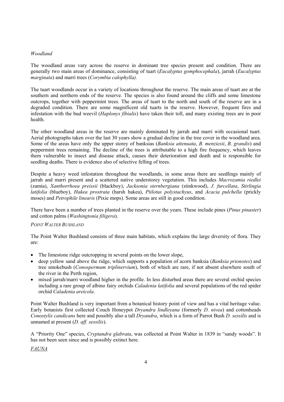# *Woodland*

The woodland areas vary across the reserve in dominant tree species present and condition. There are generally two main areas of dominance, consisting of tuart (*Eucalyptus gomphocephala*), jarrah (*Eucalyptus marginata*) and marri trees (*Corymbia calophylla).* 

The tuart woodlands occur in a variety of locations throughout the reserve. The main areas of tuart are at the southern and northern ends of the reserve. The species is also found around the cliffs and some limestone outcrops, together with peppermint trees. The areas of tuart to the north and south of the reserve are in a degraded condition. There are some magnificent old tuarts in the reserve. However, frequent fires and infestation with the bud weevil (*Haplonys fibialis*) have taken their toll, and many existing trees are in poor health.

The other woodland areas in the reserve are mainly dominated by jarrah and marri with occasional tuart. Aerial photographs taken over the last 30 years show a gradual decline in the tree cover in the woodland area. Some of the areas have only the upper storey of banksias (*Banksia attenuata*, *B. menziesii*, *B. grandis*) and peppermint trees remaining. The decline of the trees is attributable to a high fire frequency, which leaves them vulnerable to insect and disease attack, causes their deterioration and death and is responsible for seedling deaths. There is evidence also of selective felling of trees.

Despite a heavy weed infestation throughout the woodlands, in some areas there are seedlings mainly of jarrah and marri present and a scattered native understorey vegetation. This includes *Macrozamia riedlei* (zamia), *Xanthorrhoea preissii* (blackboy), *Jacksonia sternbergiana* (stinkwood), *J. furcellata*, *Stirlingia latifolia* (blueboy), *Hakea prostrata* (harsh hakea), *Ptilotus polystachyus*, and *Acacia pulchella* (prickly moses) and *Petrophile linearis* (Pixie mops). Some areas are still in good condition.

There have been a number of trees planted in the reserve over the years. These include pines (*Pinus pinaster*) and cotton palms (*Washingtonia filigera*).

# *POINT WALTER BUSHLAND*

The Point Walter Bushland consists of three main habitats, which explains the large diversity of flora. They are:

- $\bullet$  The limestone ridge outcropping in several points on the lower slope,
- x deep yellow sand above the ridge, which supports a population of acorn banksia (*Banksia prionotes*) and tree smokebush (*Conospermum triplinervium*), both of which are rare, if not absent elsewhere south of the river in the Perth region,
- mixed jarrah/marri woodland higher in the profile. In less disturbed areas there are several orchid species including a rare group of albino fairy orchids *Caladenia latifolia* and several populations of the red spider orchid *Caladenia areicola*.

Point Walter Bushland is very important from a botanical history point of view and has a vital heritage value. Early botanists first collected Couch Honeypot *Dryandra lindleyana* (formerly *D. nivea*) and cottonheads *Conostylis candicans* here and possibly also a tall *Dryandra*, which is a form of Parrot Bush *D. sessilis* and is unnamed at present (*D. aff. sessilis*).

A "Priority One" species, *Cryptandra glabrata*, was collected at Point Walter in 1839 in "sandy woods". It has not been seen since and is possibly extinct here.

*FAUNA*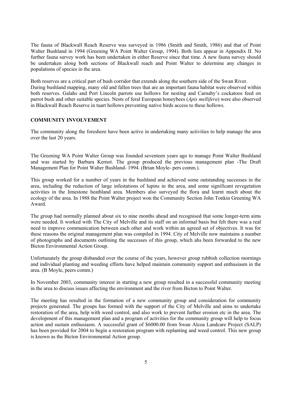The fauna of Blackwall Reach Reserve was surveyed in 1986 (Smith and Smith, 1986) and that of Point Walter Bushland in 1994 (Greening WA Point Walter Group, 1994). Both lists appear in Appendix II. No further fauna survey work has been undertaken in either Reserve since that time. A new fauna survey should be undertaken along both sections of Blackwall reach and Point Walter to determine any changes in populations of species in the area.

Both reserves are a critical part of bush corridor that extends along the southern side of the Swan River. During bushland mapping, many old and fallen trees that are an important fauna habitat were observed within both reserves. Galahs and Port Lincoln parrots use hollows for nesting and Carnaby's cockatoos feed on parrot bush and other suitable species. Nests of feral European honeybees (*Apis mellifera*) were also observed in Blackwall Reach Reserve in tuart hollows preventing native birds access to these hollows.

#### **COMMUNITY INVOLVEMENT**

The community along the foreshore have been active in undertaking many activities to help manage the area over the last 20 years.

The Greening WA Point Walter Group was founded seventeen years ago to manage Point Walter Bushland and was started by Barbara Kernot. The group produced the previous management plan -The Draft Management Plan for Point Walter Bushland- 1994. (Brian Moyle- pers comm.).

This group worked for a number of years in the bushland and achieved some outstanding successes in the area, including the reduction of large infestations of lupins in the area, and some significant revegetation activities in the limestone heathland area. Members also surveyed the flora and learnt much about the ecology of the area. In 1988 the Point Walter project won the Community Section John Tonkin Greening WA Award.

The group had normally planned about six to nine months ahead and recognised that some longer-term aims were needed. It worked with The City of Melville and its staff on an informal basis but felt there was a real need to improve communication between each other and work within an agreed set of objectives. It was for these reasons the original management plan was compiled in 1994. City of Melville now maintains a number of photographs and documents outlining the successes of this group, which ahs been forwarded to the new Bicton Environmental Action Group.

Unfortunately the group disbanded over the course of the years, however group rubbish collection mornings and individual planting and weeding efforts have helped maintain community support and enthusiasm in the area. (B Moyle, peers comm.)

In November 2003, community interest in starting a new group resulted in a successful community meeting in the area to discuss issues affecting the environment and the river from Bicton to Point Walter.

The meeting has resulted in the formation of a new community group and consideration for community projects generated. The groups has formed with the support of the City of Melville and aims to undertake restoration of the area, help with weed control, and also work to prevent further erosion etc in the area. The development of this management plan and a program of activities for the community group will help to focus action and sustain enthusiasm. A successful grant of \$6000.00 from Swan Alcoa Landcare Project (SALP) has been provided for 2004 to begin a restoration program with replanting and weed control. This new group is known as the Bicton Environmental Action group.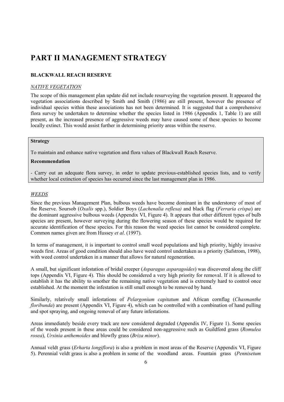# **PART II MANAGEMENT STRATEGY**

# **BLACKWALL REACH RESERVE**

# *NATIVE VEGETATION*

The scope of this management plan update did not include resurveying the vegetation present. It appeared the vegetation associations described by Smith and Smith (1986) are still present, however the presence of individual species within these associations has not been determined. It is suggested that a comprehensive flora survey be undertaken to determine whether the species listed in 1986 (Appendix 1, Table 1) are still present, as the increased presence of aggressive weeds may have caused some of these species to become locally extinct. This would assist further in determining priority areas within the reserve.

# **Strategy**

To maintain and enhance native vegetation and flora values of Blackwall Reach Reserve.

# **Recommendation**

- Carry out an adequate flora survey, in order to update previous-established species lists, and to verify whether local extinction of species has occurred since the last management plan in 1986.

#### *WEEDS*

Since the previous Management Plan, bulbous weeds have become dominant in the understorey of most of the Reserve. Soursob (*Oxalis* spp.), Soldier Boys (*Lachenalia reflexa)* and black flag (*Ferraria crispa*) are the dominant aggressive bulbous weeds (Appendix VI, Figure 4). It appears that other different types of bulb species are present, however surveying during the flowering season of these species would be required for accurate identification of these species. For this reason the weed species list cannot be considered complete. Common names given are from Hussey *et al*. (1997).

In terms of management, it is important to control small weed populations and high priority, highly invasive weeds first. Areas of good condition should also have weed control undertaken as a priority (Safstrom, 1998), with weed control undertaken in a manner that allows for natural regeneration.

A small, but significant infestation of bridal creeper (*Asparagus asparagoides*) was discovered along the cliff tops (Appendix VI, Figure 4). This should be considered a very high priority for removal. If it is allowed to establish it has the ability to smother the remaining native vegetation and is extremely hard to control once established. At the moment the infestation is still small enough to be removed by hand.

Similarly, relatively small infestations of *Pelargonium capitatum* and African cornflag (*Chasmanthe floribunda*) are present (Appendix VI, Figure 4), which can be controlled with a combination of hand pulling and spot spraying, and ongoing removal of any future infestations.

Areas immediately beside every track are now considered degraded (Appendix IV, Figure 1). Some species of the weeds present in these areas could be considered non-aggressive such as Guildford grass (*Romulea rosea*), *Ursinia anthemoides* and blowfly grass (*Briza minor*).

Annual veldt grass (*Erharta longiflora*) is also a problem in most areas of the Reserve (Appendix VI, Figure 5). Perennial veldt grass is also a problem in some of the woodland areas. Fountain grass (*Pennisetum*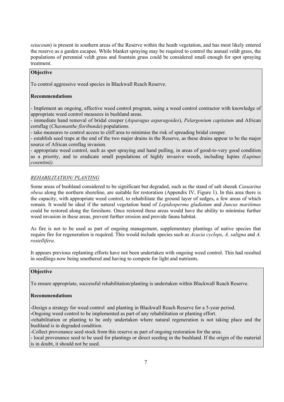*setaceum*) is present in southern areas of the Reserve within the heath vegetation, and has most likely entered the reserve as a garden escapee. While blanket spraying may be required to control the annual veldt grass, the populations of perennial veldt grass and fountain grass could be considered small enough for spot spraying treatment.

# **Objective**

To control aggressive weed species in Blackwall Reach Reserve.

# **Recommendations**

- Implement an ongoing, effective weed control program, using a weed control contractor with knowledge of appropriate weed control measures in bushland areas.

- immediate hand removal of bridal creeper (*Asparagus asparagoides*), *Pelargonium capitatum* and African cornflag (*Chasmanthe floribunda*) populations.

- take measures to control access to cliff area to minimise the risk of spreading bridal creeper.

- establish seed traps at the end of the two major drains in the Reserve, as these drains appear to be the major source of African cornflag invasion.

- appropriate weed control, such as spot spraying and hand pulling, in areas of good-to-very good condition as a priority, and to eradicate small populations of highly invasive weeds, including lupins *(Lupinus cosentinii).*

# *REHABILITATION/ PLANTING*

Some areas of bushland considered to be significant but degraded, such as the stand of salt sheoak *Casuarina obesa* along the northern shoreline, are suitable for restoration (Appendix IV, Figure 1). In this area there is the capacity, with appropriate weed control, to rehabilitate the ground layer of sedges, a few areas of which remain. It would be ideal if the natural vegetation band of *Lepidosperma gladiatum* and *Juncus maritimus* could be restored along the foreshore. Once restored these areas would have the ability to minimise further weed invasion in these areas, prevent further erosion and provide fauna habitat.

As fire is not to be used as part of ongoing management, supplementary plantings of native species that require fire for regeneration is required. This would include species such as *Acacia cyclops*, *A. saligna* and *A. rostellifera*.

It appears previous replanting efforts have not been undertaken with ongoing weed control. This had resulted in seedlings now being smothered and having to compete for light and nutrients.

# **Objective**

To ensure appropriate, successful rehabilitation/planting is undertaken within Blackwall Reach Reserve.

# **Recommendations**

**-**Design a strategy for weed control and planting in Blackwall Reach Reserve for a 5-year period.

**-**Ongoing weed control to be implemented as part of any rehabilitation or planting effort.

**-**rehabilitation or planting to be only undertaken where natural regeneration is not taking place and the bushland is in degraded condition.

-Collect provenance seed stock from this reserve as part of ongoing restoration for the area.

- local provenance seed to be used for plantings or direct seeding in the bushland. If the origin of the material is in doubt, it should not be used.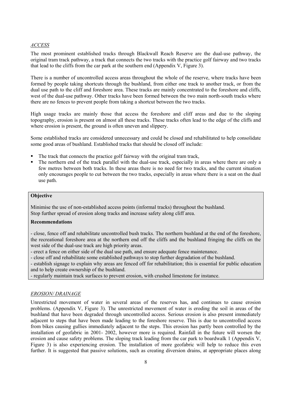# *ACCESS*

The most prominent established tracks through Blackwall Reach Reserve are the dual-use pathway, the original tram track pathway, a track that connects the two tracks with the practice golf fairway and two tracks that lead to the cliffs from the car park at the southern end (Appendix V, Figure 3).

There is a number of uncontrolled access areas throughout the whole of the reserve, where tracks have been formed by people taking shortcuts through the bushland, from either one track to another track, or from the dual use path to the cliff and foreshore area. These tracks are mainly concentrated to the foreshore and cliffs, west of the dual-use pathway. Other tracks have been formed between the two main north-south tracks where there are no fences to prevent people from taking a shortcut between the two tracks.

High usage tracks are mainly those that access the foreshore and cliff areas and due to the sloping topography, erosion is present on almost all these tracks. These tracks often lead to the edge of the cliffs and where erosion is present, the ground is often uneven and slippery.

Some established tracks are considered unnecessary and could be closed and rehabilitated to help consolidate some good areas of bushland. Established tracks that should be closed off include:

- The track that connects the practice golf fairway with the original tram track,
- The northern end of the track parallel with the dual-use track, especially in areas where there are only a few metres between both tracks. In these areas there is no need for two tracks, and the current situation only encourages people to cut between the two tracks, especially in areas where there is a seat on the dual use path.

# **Objective**

Minimise the use of non-established access points (informal tracks) throughout the bushland. Stop further spread of erosion along tracks and increase safety along cliff area.

# **Recommendations**

- close, fence off and rehabilitate uncontrolled bush tracks. The northern bushland at the end of the foreshore, the recreational foreshore area at the northern end off the cliffs and the bushland fringing the cliffs on the west side of the dual-use track are high priority areas.

- erect a fence on either side of the dual use path, and ensure adequate fence maintenance.

- close off and rehabilitate some established pathways to stop further degradation of the bushland.

- establish signage to explain why areas are fenced off for rehabilitation; this is essential for public education and to help create ownership of the bushland.

- regularly maintain track surfaces to prevent erosion, with crushed limestone for instance.

#### *EROSION/ DRAINAGE*

Unrestricted movement of water in several areas of the reserves has, and continues to cause erosion problems. (Appendix V, Figure 3). The unrestricted movement of water is eroding the soil in areas of the bushland that have been degraded through uncontrolled access. Serious erosion is also present immediately adjacent to steps that have been made leading to the foreshore reserve. This is due to uncontrolled access from bikes causing gullies immediately adjacent to the steps. This erosion has partly been controlled by the installation of geofabric in 2001- 2002, however more is required. Rainfall in the future will worsen the erosion and cause safety problems. The sloping track leading from the car park to boardwalk 1 (Appendix V, Figure 3) is also experiencing erosion. The installation of more geofabric will help to reduce this even further. It is suggested that passive solutions, such as creating diversion drains, at appropriate places along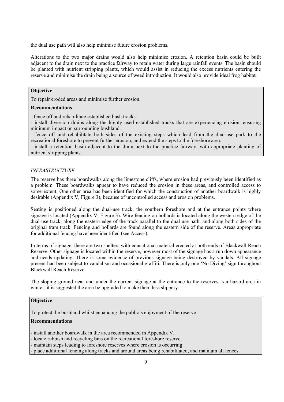the dual use path will also help minimise future erosion problems.

Alterations to the two major drains would also help minimise erosion. A retention basin could be built adjacent to the drain next to the practice fairway to retain water during large rainfall events. The basin should be planted with nutrient stripping plants, which would assist in reducing the excess nutrients entering the reserve and minimise the drain being a source of weed introduction. It would also provide ideal frog habitat.

#### **Objective**

To repair eroded areas and minimise further erosion.

# **Recommendations**

- fence off and rehabilitate established bush tracks.

- install diversion drains along the highly used established tracks that are experiencing erosion, ensuring minimum impact on surrounding bushland.

- fence off and rehabilitate both sides of the existing steps which lead from the dual-use park to the recreational foreshore to prevent further erosion, and extend the steps to the foreshore area.

- install a retention basin adjacent to the drain next to the practice fairway, with appropriate planting of nutrient stripping plants.

#### *INFRASTRUCTURE*

The reserve has three boardwalks along the limestone cliffs, where erosion had previously been identified as a problem. These boardwalks appear to have reduced the erosion in these areas, and controlled access to some extent. One other area has been identified for which the construction of another boardwalk is highly desirable (Appendix V, Figure 3), because of uncontrolled access and erosion problems.

Seating is positioned along the dual-use track, the southern foreshore and at the entrance points where signage is located (Appendix V, Figure 3). Wire fencing on bollards is located along the western edge of the dual-use track, along the eastern edge of the track parallel to the dual use path, and along both sides of the original tram track. Fencing and bollards are found along the eastern side of the reserve. Areas appropriate for additional fencing have been identified (see Access).

In terms of signage, there are two shelters with educational material erected at both ends of Blackwall Reach Reserve. Other signage is located within the reserve, however most of the signage has a run down appearance and needs updating. There is some evidence of previous signage being destroyed by vandals. All signage present had been subject to vandalism and occasional graffiti. There is only one 'No Diving' sign throughout Blackwall Reach Reserve.

The sloping ground near and under the current signage at the entrance to the reserves is a hazard area in winter, it is suggested the area be upgraded to make them less slippery.

# **Objective**

To protect the bushland whilst enhancing the public's enjoyment of the reserve

# **Recommendations**

- install another boardwalk in the area recommended in Appendix V.

- locate rubbish and recycling bins on the recreational foreshore reserve.

- maintain steps leading to foreshore reserves where erosion is occurring

- place additional fencing along tracks and around areas being rehabilitated, and maintain all fences.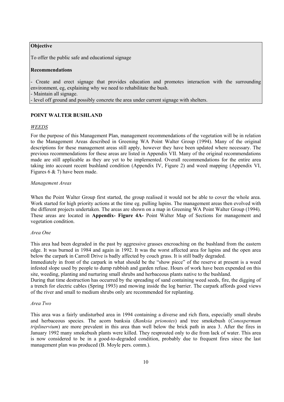# **Objective**

To offer the public safe and educational signage

#### **Recommendations**

- Create and erect signage that provides education and promotes interaction with the surrounding environment, eg, explaining why we need to rehabilitate the bush. - Maintain all signage.

- level off ground and possibly concrete the area under current signage with shelters.

### **POINT WALTER BUSHLAND**

#### *WEEDS*

For the purpose of this Management Plan, management recommendations of the vegetation will be in relation to the Management Areas described in Greening WA Point Walter Group (1994). Many of the original descriptions for these management areas still apply, however they have been updated where necessary. The previous recommendations for these areas are listed in Appendix VII. Many of the original recommendations made are still applicable as they are yet to be implemented. Overall recommendations for the entire area taking into account recent bushland condition (Appendix IV, Figure 2) and weed mapping (Appendix VI, Figures 6 & 7) have been made.

#### *Management Areas*

When the Point Walter Group first started, the group realised it would not be able to cover the whole area. Work started for high priority actions at the time eg. pulling lupins. The management areas then evolved with the different projects undertaken. The areas are shown on a map in Greening WA Point Walter Group (1994). These areas are located in **Appendix- Figure 4A-** Point Walter Map of Sections for management and vegetation condition.

#### *Area One*

This area had been degraded in the past by aggressive grasses encroaching on the bushland from the eastern edge. It was burned in 1984 and again in 1992. It was the worst affected area for lupins and the open area below the carpark in Carroll Drive is badly affected by couch grass. It is still badly degraded.

Immediately in front of the carpark in what should be the "show piece" of the reserve at present is a weed infested slope used by people to dump rubbish and garden refuse. Hours of work have been expended on this site, weeding, planting and nurturing small shrubs and herbaceous plants native to the bushland.

During that time destruction has occurred by the spreading of sand containing weed seeds, fire, the digging of a trench for electric cables (Spring 1993) and mowing inside the log barrier. The carpark affords good views of the river and small to medium shrubs only are recommended for replanting.

#### *Area Two*

This area was a fairly undisturbed area in 1994 containing a diverse and rich flora, especially small shrubs and herbaceous species. The acorn banksia (*Banksia prionotes*) and tree smokebush (*Conospermum triplinervium*) are more prevalent in this area than well below the brick path in area 3. After the fires in January 1992 many smokebush plants were killed. They resprouted only to die from lack of water. This area is now considered to be in a good-to-degraded condition, probably due to frequent fires since the last management plan was produced (B. Moyle pers. comm.).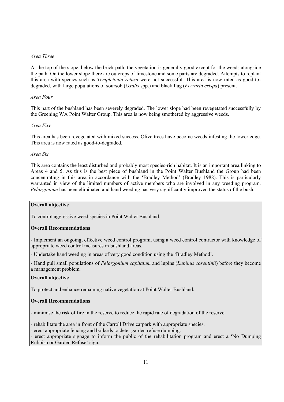# *Area Three*

At the top of the slope, below the brick path, the vegetation is generally good except for the weeds alongside the path. On the lower slope there are outcrops of limestone and some parts are degraded. Attempts to replant this area with species such as *Templetonia retusa* were not successful. This area is now rated as good-todegraded, with large populations of soursob (*Oxalis* spp.) and black flag (*Ferraria crispa*) present.

# *Area Four*

This part of the bushland has been severely degraded. The lower slope had been revegetated successfully by the Greening WA Point Walter Group. This area is now being smothered by aggressive weeds.

### *Area Five*

This area has been revegetated with mixed success. Olive trees have become weeds infesting the lower edge. This area is now rated as good-to-degraded.

#### *Area Six*

This area contains the least disturbed and probably most species-rich habitat. It is an important area linking to Areas 4 and 5. As this is the best piece of bushland in the Point Walter Bushland the Group had been concentrating in this area in accordance with the 'Bradley Method' (Bradley 1988). This is particularly warranted in view of the limited numbers of active members who are involved in any weeding program. *Pelargonium* has been eliminated and hand weeding has very significantly improved the status of the bush.

# **Overall objective**

To control aggressive weed species in Point Walter Bushland.

# **Overall Recommendations**

- Implement an ongoing, effective weed control program, using a weed control contractor with knowledge of appropriate weed control measures in bushland areas.

- Undertake hand weeding in areas of very good condition using the 'Bradley Method'.

- Hand pull small populations of *Pelargonium capitatum* and lupins (*Lupinus cosentinii*) before they become a management problem.

# **Overall objective**

To protect and enhance remaining native vegetation at Point Walter Bushland.

# **Overall Recommendations**

- minimise the risk of fire in the reserve to reduce the rapid rate of degradation of the reserve.

- rehabilitate the area in front of the Carroll Drive carpark with appropriate species.

- erect appropriate fencing and bollards to deter garden refuse dumping.

- erect appropriate signage to inform the public of the rehabilitation program and erect a 'No Dumping Rubbish or Garden Refuse' sign.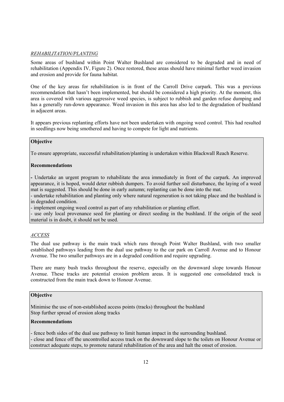# *REHABILITATION/PLANTING*

Some areas of bushland within Point Walter Bushland are considered to be degraded and in need of rehabilitation (Appendix IV, Figure 2). Once restored, these areas should have minimal further weed invasion and erosion and provide for fauna habitat.

One of the key areas for rehabilitation is in front of the Carroll Drive carpark. This was a previous recommendation that hasn't been implemented, but should be considered a high priority. At the moment, this area is covered with various aggressive weed species, is subject to rubbish and garden refuse dumping and has a generally run-down appearance. Weed invasion in this area has also led to the degradation of bushland in adjacent areas.

It appears previous replanting efforts have not been undertaken with ongoing weed control. This had resulted in seedlings now being smothered and having to compete for light and nutrients.

# **Objective**

To ensure appropriate, successful rehabilitation/planting is undertaken within Blackwall Reach Reserve.

### **Recommendations**

**-** Undertake an urgent program to rehabilitate the area immediately in front of the carpark. An improved appearance, it is hoped, would deter rubbish dumpers. To avoid further soil disturbance, the laying of a weed mat is suggested. This should be done in early autumn; replanting can be done into the mat.

- undertake rehabilitation and planting only where natural regeneration is not taking place and the bushland is in degraded condition.

- implement ongoing weed control as part of any rehabilitation or planting effort.

- use only local provenance seed for planting or direct seeding in the bushland. If the origin of the seed material is in doubt, it should not be used.

# *ACCESS*

The dual use pathway is the main track which runs through Point Walter Bushland, with two smaller established pathways leading from the dual use pathway to the car park on Carroll Avenue and to Honour Avenue. The two smaller pathways are in a degraded condition and require upgrading.

There are many bush tracks throughout the reserve, especially on the downward slope towards Honour Avenue. These tracks are potential erosion problem areas. It is suggested one consolidated track is constructed from the main track down to Honour Avenue.

# **Objective**

Minimise the use of non-established access points (tracks) throughout the bushland Stop further spread of erosion along tracks

### **Recommendations**

- fence both sides of the dual use pathway to limit human impact in the surrounding bushland. - close and fence off the uncontrolled access track on the downward slope to the toilets on Honour Avenue or construct adequate steps, to promote natural rehabilitation of the area and halt the onset of erosion.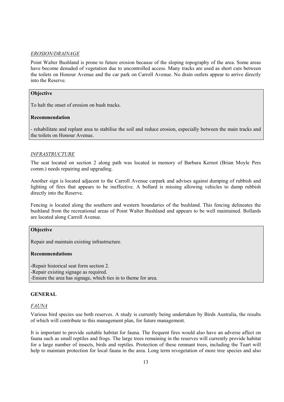# *EROSION/DRAINAGE*

Point Walter Bushland is prone to future erosion because of the sloping topography of the area. Some areas have become denuded of vegetation due to uncontrolled access. Many tracks are used as short cuts between the toilets on Honour Avenue and the car park on Carroll Avenue. No drain outlets appear to arrive directly into the Reserve.

# **Objective**

To halt the onset of erosion on bush tracks.

# **Recommendation**

- rehabilitate and replant area to stabilise the soil and reduce erosion, especially between the main tracks and the toilets on Honour Avenue.

# *INFRASTRUCTURE*

The seat located on section 2 along path was located in memory of Barbara Kernot (Brian Moyle Pers comm.) needs repairing and upgrading.

Another sign is located adjacent to the Carroll Avenue carpark and advises against dumping of rubbish and lighting of fires that appears to be ineffective. A bollard is missing allowing vehicles to dump rubbish directly into the Reserve.

Fencing is located along the southern and western boundaries of the bushland. This fencing delineates the bushland from the recreational areas of Point Walter Bushland and appears to be well maintained. Bollards are located along Carroll Avenue.

# **Objective**

Repair and maintain existing infrastructure.

# **Recommendations**

**-**Repair historical seat form section 2. -Repair existing signage as required. -Ensure the area has signage, which ties in to theme for area.

#### **GENERAL**

# *FAUNA*

Various bird species use both reserves. A study is currently being undertaken by Birds Australia, the results of which will contribute to this management plan, for future management.

It is important to provide suitable habitat for fauna. The frequent fires would also have an adverse affect on fauna such as small reptiles and frogs. The large trees remaining in the reserves will currently provide habitat for a large number of insects, birds and reptiles. Protection of these remnant trees, including the Tuart will help to maintain protection for local fauna in the area. Long term revegetation of more tree species and also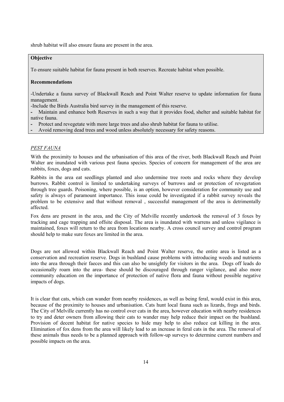shrub habitat will also ensure fauna are present in the area.

# **Objective**

To ensure suitable habitat for fauna present in both reserves. Recreate habitat when possible.

## **Recommendations**

-Undertake a fauna survey of Blackwall Reach and Point Walter reserve to update information for fauna management.

-Include the Birds Australia bird survey in the management of this reserve.

**-** Maintain and enhance both Reserves in such a way that it provides food, shelter and suitable habitat for native fauna.

**-** Protect and revegetate with more large trees and also shrub habitat for fauna to utilise.

**-** Avoid removing dead trees and wood unless absolutely necessary for safety reasons.

#### *PEST FAUNA*

With the proximity to houses and the urbanisation of this area of the river, both Blackwall Reach and Point Walter are inundated with various pest fauna species. Species of concern for management of the area are rabbits, foxes, dogs and cats.

Rabbits in the area eat seedlings planted and also undermine tree roots and rocks where they develop burrows. Rabbit control is limited to undertaking surveys of burrows and or protection of revegetation through tree guards. Poisoning, where possible, is an option, however consideration for community use and safety is always of paramount importance. This issue could be investigated if a rabbit survey reveals the problem to be extensive and that without removal , successful management of the area is detrimentally affected.

Fox dens are present in the area, and the City of Melville recently undertook the removal of 3 foxes by tracking and cage trapping and offsite disposal. The area is inundated with warrens and unless vigilance is maintained, foxes will return to the area from locations nearby. A cross council survey and control program should help to make sure foxes are limited in the area.

Dogs are not allowed within Blackwall Reach and Point Walter reserve, the entire area is listed as a conservation and recreation reserve. Dogs in bushland cause problems with introducing weeds and nutrients into the area through their faeces and this can also be unsightly for visitors in the area. Dogs off leads do occasionally roam into the area- these should be discouraged through ranger vigilance, and also more community education on the importance of protection of native flora and fauna without possible negative impacts of dogs.

It is clear that cats, which can wander from nearby residences, as well as being feral, would exist in this area, because of the proximity to houses and urbanisation. Cats hunt local fauna such as lizards, frogs and birds. The City of Melville currently has no control over cats in the area, however education with nearby residences to try and deter owners from allowing their cats to wander may help reduce their impact on the bushland. Provision of decent habitat for native species to hide may help to also reduce cat killing in the area. Elimination of fox dens from the area will likely lead to an increase in feral cats in the area. The removal of these animals thus needs to be a planned approach with follow-up surveys to determine current numbers and possible impacts on the area.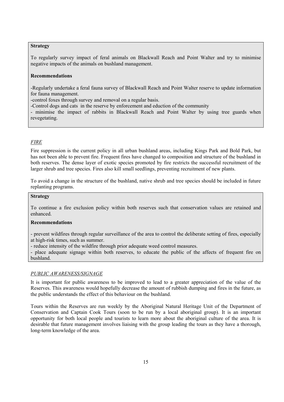# **Strategy**

To regularly survey impact of feral animals on Blackwall Reach and Point Walter and try to minimise negative impacts of the animals on bushland management.

### **Recommendations**

-Regularly undertake a feral fauna survey of Blackwall Reach and Point Walter reserve to update information for fauna management.

-control foxes through survey and removal on a regular basis.

-Control dogs and cats in the reserve by enforcement and eduction of the community

- minimise the impact of rabbits in Blackwall Reach and Point Walter by using tree guards when revegetating.

# *FIRE*

Fire suppression is the current policy in all urban bushland areas, including Kings Park and Bold Park, but has not been able to prevent fire. Frequent fires have changed to composition and structure of the bushland in both reserves. The dense layer of exotic species promoted by fire restricts the successful recruitment of the larger shrub and tree species. Fires also kill small seedlings, preventing recruitment of new plants.

To avoid a change in the structure of the bushland, native shrub and tree species should be included in future replanting programs.

# **Strategy**

To continue a fire exclusion policy within both reserves such that conservation values are retained and enhanced.

# **Recommendations**

- prevent wildfires through regular surveillance of the area to control the deliberate setting of fires, especially at high-risk times, such as summer.

- reduce intensity of the wildfire through prior adequate weed control measures.

- place adequate signage within both reserves, to educate the public of the affects of frequent fire on bushland.

# *PUBLIC AWARENESS/SIGNAGE*

It is important for public awareness to be improved to lead to a greater appreciation of the value of the Reserves. This awareness would hopefully decrease the amount of rubbish dumping and fires in the future, as the public understands the effect of this behaviour on the bushland.

Tours within the Reserves are run weekly by the Aboriginal Natural Heritage Unit of the Department of Conservation and Captain Cook Tours (soon to be run by a local aboriginal group). It is an important opportunity for both local people and tourists to learn more about the aboriginal culture of the area. It is desirable that future management involves liaising with the group leading the tours as they have a thorough, long-term knowledge of the area.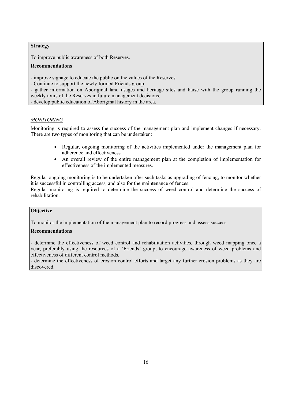# **Strategy**

To improve public awareness of both Reserves.

# **Recommendations**

- improve signage to educate the public on the values of the Reserves.

- Continue to support the newly formed Friends group.

- gather information on Aboriginal land usages and heritage sites and liaise with the group running the weekly tours of the Reserves in future management decisions.

- develop public education of Aboriginal history in the area.

# *MONITORING*

Monitoring is required to assess the success of the management plan and implement changes if necessary. There are two types of monitoring that can be undertaken:

- Regular, ongoing monitoring of the activities implemented under the management plan for adherence and effectiveness
- An overall review of the entire management plan at the completion of implementation for effectiveness of the implemented measures.

Regular ongoing monitoring is to be undertaken after such tasks as upgrading of fencing, to monitor whether it is successful in controlling access, and also for the maintenance of fences.

Regular monitoring is required to determine the success of weed control and determine the success of rehabilitation.

# **Objective**

To monitor the implementation of the management plan to record progress and assess success.

# **Recommendations**

- determine the effectiveness of weed control and rehabilitation activities, through weed mapping once a year, preferably using the resources of a 'Friends' group, to encourage awareness of weed problems and effectiveness of different control methods.

- determine the effectiveness of erosion control efforts and target any further erosion problems as they are discovered.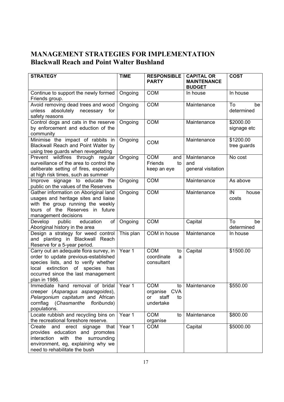# **MANAGEMENT STRATEGIES FOR IMPLEMENTATION Blackwall Reach and Point Walter Bushland**

| <b>STRATEGY</b>                                                               | <b>TIME</b> | <b>RESPONSIBLE</b>    | <b>CAPITAL OR</b>  | <b>COST</b> |
|-------------------------------------------------------------------------------|-------------|-----------------------|--------------------|-------------|
|                                                                               |             | <b>PARTY</b>          | <b>MAINTENANCE</b> |             |
|                                                                               |             | <b>COM</b>            | <b>BUDGET</b>      |             |
| Continue to support the newly formed<br>Friends group.                        | Ongoing     |                       | In house           | In house    |
| Avoid removing dead trees and wood                                            | Ongoing     | <b>COM</b>            | Maintenance        | To<br>be    |
| unless absolutely necessary<br>for                                            |             |                       |                    | determined  |
| safety reasons                                                                |             |                       |                    |             |
| Control dogs and cats in the reserve                                          | Ongoing     | <b>COM</b>            | Maintenance        | \$2000.00   |
| by enforcement and eduction of the                                            |             |                       |                    | signage etc |
| community                                                                     |             |                       |                    |             |
| Minimise the impact of rabbits in                                             | Ongoing     | <b>COM</b>            | Maintenance        | \$1200.00   |
| Blackwall Reach and Point Walter by                                           |             |                       |                    | tree guards |
| using tree guards when revegetating                                           |             |                       |                    |             |
| Prevent wildfires through regular                                             | Ongoing     | <b>COM</b><br>and     | Maintenance        | No cost     |
| surveillance of the area to control the                                       |             | Friends<br>to         | and                |             |
| deliberate setting of fires, especially<br>at high risk times, such as summer |             | keep an eye           | general visitation |             |
| Improve signage to educate the                                                | Ongoing     | <b>COM</b>            | Maintenance        | As above    |
| public on the values of the Reserves                                          |             |                       |                    |             |
| Gather information on Aboriginal land                                         | Ongoing     | <b>COM</b>            | Maintenance        | IN<br>house |
| usages and heritage sites and liaise                                          |             |                       |                    | costs       |
| with the group running the weekly                                             |             |                       |                    |             |
| tours of the Reserves in future                                               |             |                       |                    |             |
| management decisions                                                          |             |                       |                    |             |
| Develop<br>education<br>public<br>of                                          | Ongoing     | <b>COM</b>            | Capital            | To<br>be    |
| Aboriginal history in the area                                                |             |                       |                    | determined  |
| Design a strategy for weed control                                            | This plan   | COM in house          | Maintenance        | In house    |
| and planting in Blackwall Reach                                               |             |                       |                    |             |
| Reserve for a 5-year period.<br>Carry out an adequate flora survey, in        | Year 1      | <b>COM</b>            |                    | \$1500.00   |
| order to update previous-established                                          |             | to<br>coordinate<br>a | Capital            |             |
| species lists, and to verify whether                                          |             | consultant            |                    |             |
| local extinction<br>of<br>species<br>has                                      |             |                       |                    |             |
| occurred since the last management                                            |             |                       |                    |             |
| plan in 1986.                                                                 |             |                       |                    |             |
| Immediate hand removal of bridal Year 1                                       |             | <b>COM</b><br>to      | Maintenance        | \$550.00    |
| creeper (Asparagus asparagoides),                                             |             | organise CVA          |                    |             |
| Pelargonium capitatum and African                                             |             | or<br>staff<br>to     |                    |             |
| cornflag (Chasmanthe floribunda)                                              |             | undertake             |                    |             |
| populations.                                                                  |             |                       |                    |             |
| Locate rubbish and recycling bins on                                          | Year 1      | <b>COM</b><br>to      | Maintenance        | \$800.00    |
| the recreational foreshore reserve.                                           |             | organise              |                    |             |
| Create and erect signage that                                                 | Year 1      | <b>COM</b>            | Capital            | \$5000.00   |
| provides education and promotes<br>interaction with the surrounding           |             |                       |                    |             |
| environment, eg, explaining why we                                            |             |                       |                    |             |
| need to rehabilitate the bush                                                 |             |                       |                    |             |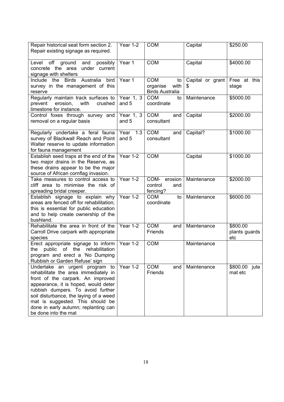| Repair historical seat form section 2.<br>Repair existing signage as required.                                                                                                                                                                                                                                                         | Year 1-2             | <b>COM</b>                                                     | Capital               | \$250.00                         |
|----------------------------------------------------------------------------------------------------------------------------------------------------------------------------------------------------------------------------------------------------------------------------------------------------------------------------------------|----------------------|----------------------------------------------------------------|-----------------------|----------------------------------|
| Level off ground and<br>possibly<br>concrete the area<br>under current<br>signage with shelters                                                                                                                                                                                                                                        | Year 1               | <b>COM</b>                                                     | Capital               | \$4000.00                        |
| Include the Birds Australia<br>bird<br>survey in the management of this<br>reserve                                                                                                                                                                                                                                                     | Year 1               | <b>COM</b><br>to<br>organise<br>with<br><b>Birds Australia</b> | Capital or grant<br>S | Free at this<br>stage            |
| Regularly maintain track surfaces to<br>erosion,<br>with<br>prevent<br>crushed<br>limestone for instance.                                                                                                                                                                                                                              | Year 1, 3<br>and 5   | <b>COM</b><br>to<br>coordinate                                 | Maintenance           | \$5000.00                        |
| Control foxes through survey and<br>removal on a regular basis                                                                                                                                                                                                                                                                         | Year $1, 3$<br>and 5 | <b>COM</b><br>and<br>consultant                                | Capital               | \$2000.00                        |
| Regularly undertake a feral fauna<br>survey of Blackwall Reach and Point<br>Walter reserve to update information<br>for fauna management                                                                                                                                                                                               | Year 1.3<br>and 5    | <b>COM</b><br>and<br>consultant                                | Capital?              | \$1000.00                        |
| Establish seed traps at the end of the<br>two major drains in the Reserve, as<br>these drains appear to be the major<br>source of African cornflag invasion.                                                                                                                                                                           | Year 1-2             | <b>COM</b>                                                     | Capital               | \$1000.00                        |
| Take measures to control access to<br>cliff area to minimise the risk of<br>spreading bridal creeper.                                                                                                                                                                                                                                  | Year $1-2$           | COM-<br>erosion<br>control<br>and<br>fencing?                  | Maintenance           | \$2000.00                        |
| Establish signage to explain why<br>areas are fenced off for rehabilitation;<br>this is essential for public education<br>and to help create ownership of the<br>bushland.                                                                                                                                                             | Year $1-2$           | <b>COM</b><br>to<br>coordinate                                 | Maintenance           | \$6000.00                        |
| Rehabilitate the area in front of the<br>Carroll Drive carpark with appropriate<br>species                                                                                                                                                                                                                                             | Year 1-2             | <b>COM</b><br>and<br>Friends                                   | Maintenance           | \$800.00<br>plants guards<br>etc |
| Erect appropriate signage to inform<br>the public of the rehabilitation<br>program and erect a 'No Dumping<br>Rubbish or Garden Refuse' sign                                                                                                                                                                                           | Year 1-2             | <b>COM</b>                                                     | Maintenance           |                                  |
| Undertake an urgent program to<br>rehabilitate the area immediately in<br>front of the carpark. An improved<br>appearance, it is hoped, would deter<br>rubbish dumpers. To avoid further<br>soil disturbance, the laying of a weed<br>mat is suggested. This should be<br>done in early autumn; replanting can<br>be done into the mat | Year $1-2$           | <b>COM</b><br>and<br>Friends                                   | Maintenance           | \$800.00<br>jute<br>mat etc      |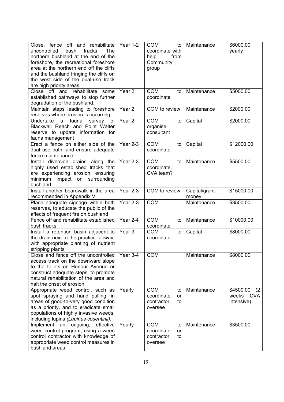| Close, fence off and rehabilitate<br>uncontrolled<br>bush<br>tracks.<br><b>The</b><br>northern bushland at the end of the<br>foreshore, the recreational foreshore<br>area at the northern end off the cliffs<br>and the bushland fringing the cliffs on<br>the west side of the dual-use track<br>are high priority areas. | Year 1-2          | <b>COM</b><br>to<br>coordinate with<br>from<br>help<br>Community<br>group  | Maintenance            | \$6000.00<br>yearly                            |
|-----------------------------------------------------------------------------------------------------------------------------------------------------------------------------------------------------------------------------------------------------------------------------------------------------------------------------|-------------------|----------------------------------------------------------------------------|------------------------|------------------------------------------------|
| Close off and rehabilitate some<br>established pathways to stop further<br>degradation of the bushland.                                                                                                                                                                                                                     | Year <sub>2</sub> | <b>COM</b><br>to<br>coordinate                                             | Maintenance            | \$5000.00                                      |
| Maintain steps leading to foreshore<br>reserves where erosion is occurring                                                                                                                                                                                                                                                  | Year <sub>2</sub> | COM to review                                                              | Maintenance            | \$2000.00                                      |
| Undertake a fauna<br>survey of<br>Blackwall Reach and Point Walter<br>reserve to update information for<br>fauna management                                                                                                                                                                                                 | Year <sub>2</sub> | <b>COM</b><br>to<br>organise<br>consultant                                 | Capital                | \$2000.00                                      |
| Erect a fence on either side of the<br>dual use path, and ensure adequate<br>fence maintenance                                                                                                                                                                                                                              | Year 2-3          | <b>COM</b><br>to<br>coordinate                                             | Capital                | \$12000.00                                     |
| Install diversion drains along the<br>highly used established tracks that<br>are experiencing erosion, ensuring<br>minimum impact on surrounding<br>bushland                                                                                                                                                                | Year 2-3          | <b>COM</b><br>to<br>coordinate,<br>CVA team?                               | Maintenance            | \$5500.00                                      |
| Install another boardwalk in the area<br>recommended in Appendix V                                                                                                                                                                                                                                                          | Year 2-3          | COM to review                                                              | Capital/grant<br>money | \$15000.00                                     |
| Place adequate signage within both<br>reserves, to educate the public of the<br>affects of frequent fire on bushland                                                                                                                                                                                                        | Year 2-3          | <b>COM</b>                                                                 | Maintenance            | \$3500.00                                      |
| Fence off and rehabilitate established<br>bush tracks                                                                                                                                                                                                                                                                       | Year 2-4          | <b>COM</b><br>to<br>coordinate                                             | Maintenance            | \$10000.00                                     |
| Install a retention basin adjacent to<br>the drain next to the practice fairway,<br>with appropriate planting of nutrient<br>stripping plants                                                                                                                                                                               | Year <sub>3</sub> | <b>COM</b><br>to<br>coordinate                                             | Capital                | \$8000.00                                      |
| Close and fence off the uncontrolled   Year 3-4<br>access track on the downward slope<br>to the toilets on Honour Avenue or<br>construct adequate steps, to promote<br>natural rehabilitation of the area and<br>halt the onset of erosion                                                                                  |                   | <b>COM</b>                                                                 | Maintenance            | \$8000.00                                      |
| Appropriate weed control, such as<br>spot spraying and hand pulling, in<br>areas of good-to-very good condition<br>as a priority, and to eradicate small<br>populations of highly invasive weeds,<br>including lupins (Lupinus cosentinii).                                                                                 | Yearly            | <b>COM</b><br>to<br>coordinate<br><b>or</b><br>contractor<br>to<br>oversee | Maintenance            | \$4500.00<br>(2)<br>CVA<br>weeks<br>intensive) |
| Implement an<br>ongoing,<br>effective<br>weed control program, using a weed<br>control contractor with knowledge of<br>appropriate weed control measures in<br>bushland areas                                                                                                                                               | Yearly            | <b>COM</b><br>to<br>coordinate<br>or<br>contractor<br>to<br>oversee        | Maintenance            | \$3500.00                                      |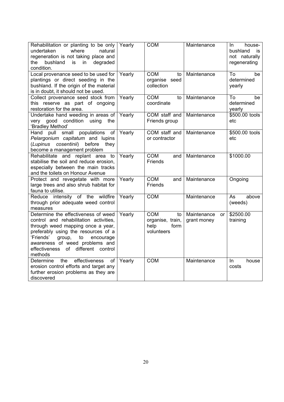| Rehabilitation or planting to be only<br>undertaken<br>where<br>natural<br>regeneration is not taking place and<br>bushland<br>degraded<br>the<br>is<br>in<br>condition.                                                                                                               | Yearly | <b>COM</b>                                                         | Maintenance                             | In.<br>house-<br>bushland<br>İS.<br>not naturally<br>regenerating |
|----------------------------------------------------------------------------------------------------------------------------------------------------------------------------------------------------------------------------------------------------------------------------------------|--------|--------------------------------------------------------------------|-----------------------------------------|-------------------------------------------------------------------|
| Local provenance seed to be used for<br>plantings or direct seeding in the<br>bushland. If the origin of the material<br>is in doubt, it should not be used.                                                                                                                           | Yearly | <b>COM</b><br>to<br>organise seed<br>collection                    | Maintenance                             | To<br>be<br>determined<br>yearly                                  |
| Collect provenance seed stock from<br>this reserve as part of ongoing<br>restoration for the area.                                                                                                                                                                                     | Yearly | <b>COM</b><br>to<br>coordinate                                     | Maintenance                             | To<br>be<br>determined<br>yearly                                  |
| Undertake hand weeding in areas of<br>very good condition using the<br>'Bradley Method'                                                                                                                                                                                                | Yearly | COM staff and<br>Friends group                                     | Maintenance                             | \$500.00 tools<br>etc                                             |
| populations<br>small<br>Hand pull<br>of<br>Pelargonium capitatum and lupins<br>cosentinii) before<br>(Lupinus<br>they<br>become a management problem                                                                                                                                   | Yearly | COM staff and<br>or contractor                                     | Maintenance                             | \$500.00 tools<br>etc                                             |
| Rehabilitate and replant area to<br>stabilise the soil and reduce erosion,<br>especially between the main tracks<br>and the toilets on Honour Avenue                                                                                                                                   | Yearly | <b>COM</b><br>and<br><b>Friends</b>                                | Maintenance                             | \$1000.00                                                         |
| Protect and revegetate with more<br>large trees and also shrub habitat for<br>fauna to utilise.                                                                                                                                                                                        | Yearly | <b>COM</b><br>and<br>Friends                                       | Maintenance                             | Ongoing                                                           |
| Reduce intensity of the wildfire<br>through prior adequate weed control<br>measures                                                                                                                                                                                                    | Yearly | <b>COM</b>                                                         | Maintenance                             | above<br>As<br>(weeds)                                            |
| Determine the effectiveness of weed<br>control and rehabilitation activities,<br>through weed mapping once a year,<br>preferably using the resources of a<br>'Friends'<br>group,<br>to<br>encourage<br>awareness of weed problems and<br>effectiveness of different control<br>methods | Yearly | <b>COM</b><br>to<br>organise, train,<br>form<br>help<br>volunteers | Maintenance<br><b>or</b><br>grant money | \$2500.00<br>training                                             |
| effectiveness<br>the<br>Determine<br>of<br>erosion control efforts and target any<br>further erosion problems as they are<br>discovered                                                                                                                                                | Yearly | <b>COM</b>                                                         | Maintenance                             | In<br>house<br>costs                                              |